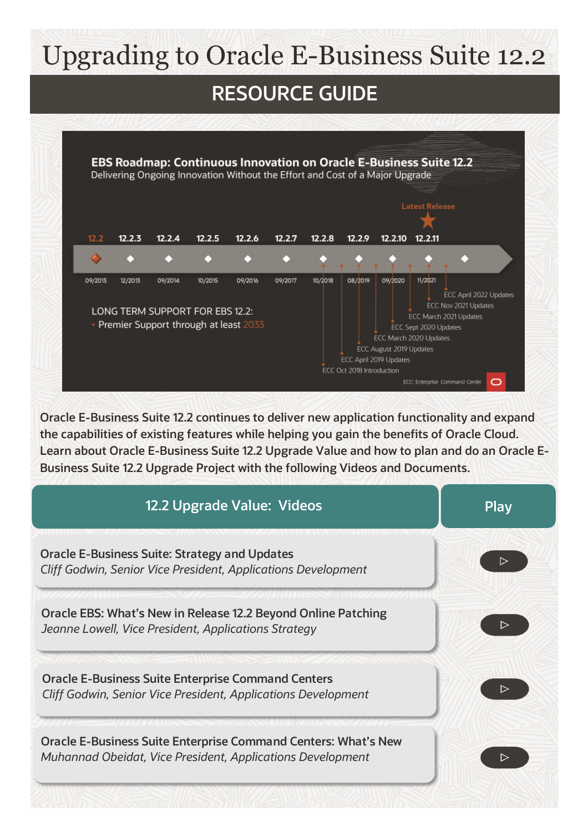# Upgrading to Oracle E-Business Suite 12.2





**Oracle E-Business Suite 12.2 continues to deliver new application functionality and expand the capabilities of existing features while helping you gain the benefits of Oracle Cloud. Learn about Oracle E-Business Suite 12.2 Upgrade Value and how to plan and do an Oracle E-Business Suite 12.2 Upgrade Project with the following Videos and Documents.**

| 12.2 Upgrade Value: Videos                                                                                                          | <b>Play</b> |
|-------------------------------------------------------------------------------------------------------------------------------------|-------------|
| <b>Oracle E-Business Suite: Strategy and Updates</b><br>Cliff Godwin, Senior Vice President, Applications Development               |             |
| Oracle EBS: What's New in Release 12.2 Beyond Online Patching<br>Jeanne Lowell, Vice President, Applications Strategy               |             |
| <b>Oracle E-Business Suite Enterprise Command Centers</b><br>Cliff Godwin, Senior Vice President, Applications Development          |             |
| <b>Oracle E-Business Suite Enterprise Command Centers: What's New</b><br>Muhannad Obeidat, Vice President, Applications Development |             |
|                                                                                                                                     |             |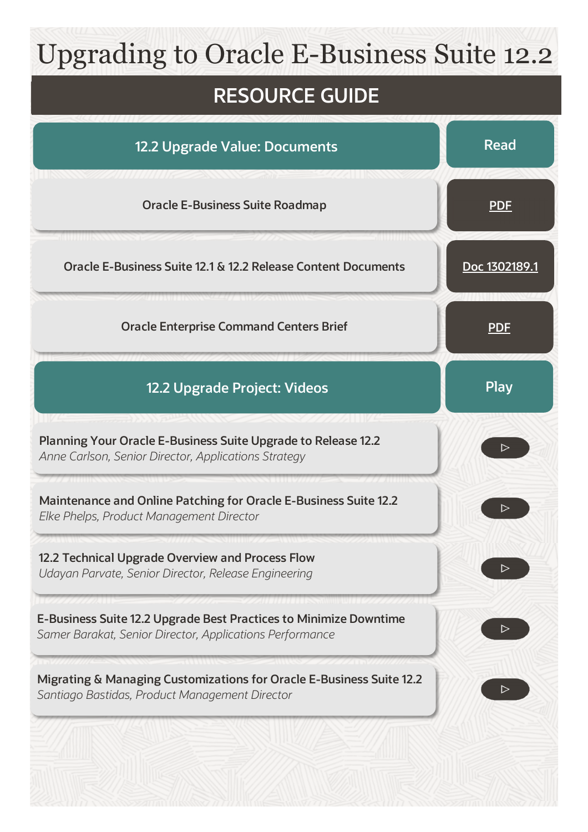### Upgrading to Oracle E-Business Suite 12.2

#### **RESOURCE GUIDE**

| 12.2 Upgrade Value: Documents                                                                                                 | <b>Read</b>      |
|-------------------------------------------------------------------------------------------------------------------------------|------------------|
| <b>Oracle E-Business Suite Roadmap</b>                                                                                        | <b>PDF</b>       |
| Oracle E-Business Suite 12.1 & 12.2 Release Content Documents                                                                 | Doc 1302189.1    |
| <b>Oracle Enterprise Command Centers Brief</b>                                                                                | <u>PDF</u>       |
| 12.2 Upgrade Project: Videos                                                                                                  | <b>Play</b>      |
| Planning Your Oracle E-Business Suite Upgrade to Release 12.2<br>Anne Carlson, Senior Director, Applications Strategy         |                  |
| <b>Maintenance and Online Patching for Oracle E-Business Suite 12.2</b><br>Elke Phelps, Product Management Director           |                  |
| 12.2 Technical Upgrade Overview and Process Flow<br>Udayan Parvate, Senior Director, Release Engineering                      | $\triangleright$ |
| E-Business Suite 12.2 Upgrade Best Practices to Minimize Downtime<br>Samer Barakat, Senior Director, Applications Performance |                  |
| Migrating & Managing Customizations for Oracle E-Business Suite 12.2<br>Santiago Bastidas, Product Management Director        |                  |
|                                                                                                                               |                  |
|                                                                                                                               |                  |